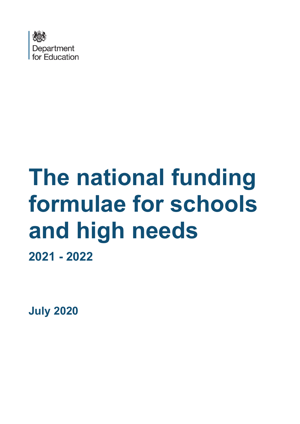

# **The national funding formulae for schools and high needs 2021 - 2022**

**July 2020**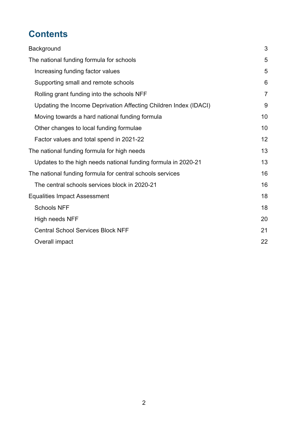# **Contents**

| Background                                                       | 3              |
|------------------------------------------------------------------|----------------|
| The national funding formula for schools                         | 5              |
| Increasing funding factor values                                 | 5              |
| Supporting small and remote schools                              | 6              |
| Rolling grant funding into the schools NFF                       | $\overline{7}$ |
| Updating the Income Deprivation Affecting Children Index (IDACI) | 9              |
| Moving towards a hard national funding formula                   | 10             |
| Other changes to local funding formulae                          | 10             |
| Factor values and total spend in 2021-22                         | 12             |
| The national funding formula for high needs                      | 13             |
| Updates to the high needs national funding formula in 2020-21    | 13             |
| The national funding formula for central schools services        | 16             |
| The central schools services block in 2020-21                    | 16             |
| <b>Equalities Impact Assessment</b>                              | 18             |
| <b>Schools NFF</b>                                               | 18             |
| High needs NFF                                                   | 20             |
| <b>Central School Services Block NFF</b>                         | 21             |
| Overall impact                                                   | 22             |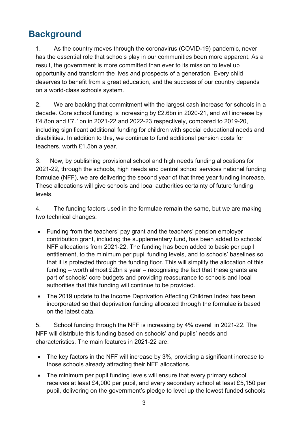# <span id="page-2-0"></span>**Background**

1. As the country moves through the coronavirus (COVID-19) pandemic, never has the essential role that schools play in our communities been more apparent. As a result, the government is more committed than ever to its mission to level up opportunity and transform the lives and prospects of a generation. Every child deserves to benefit from a great education, and the success of our country depends on a world-class schools system.

2. We are backing that commitment with the largest cash increase for schools in a decade. Core school funding is increasing by £2.6bn in 2020-21, and will increase by £4.8bn and £7.1bn in 2021-22 and 2022-23 respectively, compared to 2019-20, including significant additional funding for children with special educational needs and disabilities. In addition to this, we continue to fund additional pension costs for teachers, worth £1.5bn a year.

3. Now, by publishing provisional school and high needs funding allocations for 2021-22, through the schools, high needs and central school services national funding formulae (NFF), we are delivering the second year of that three year funding increase. These allocations will give schools and local authorities certainty of future funding levels.

4. The funding factors used in the formulae remain the same, but we are making two technical changes:

- Funding from the teachers' pay grant and the teachers' pension employer contribution grant, including the supplementary fund, has been added to schools' NFF allocations from 2021-22. The funding has been added to basic per pupil entitlement, to the minimum per pupil funding levels, and to schools' baselines so that it is protected through the funding floor. This will simplify the allocation of this funding – worth almost £2bn a year – recognising the fact that these grants are part of schools' core budgets and providing reassurance to schools and local authorities that this funding will continue to be provided.
- The 2019 update to the Income Deprivation Affecting Children Index has been incorporated so that deprivation funding allocated through the formulae is based on the latest data.

5. School funding through the NFF is increasing by 4% overall in 2021-22. The NFF will distribute this funding based on schools' and pupils' needs and characteristics. The main features in 2021-22 are:

- The key factors in the NFF will increase by 3%, providing a significant increase to those schools already attracting their NFF allocations.
- The minimum per pupil funding levels will ensure that every primary school receives at least £4,000 per pupil, and every secondary school at least £5,150 per pupil, delivering on the government's pledge to level up the lowest funded schools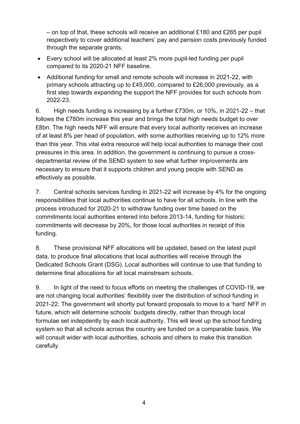– on top of that, these schools will receive an additional £180 and £265 per pupil respectively to cover additional teachers' pay and pension costs previously funded through the separate grants.

- Every school will be allocated at least 2% more pupil-led funding per pupil compared to its 2020-21 NFF baseline.
- Additional funding for small and remote schools will increase in 2021-22, with primary schools attracting up to £45,000, compared to £26,000 previously, as a first step towards expanding the support the NFF provides for such schools from 2022-23.

6. High needs funding is increasing by a further £730m, or 10%, in 2021-22 – that follows the £780m increase this year and brings the total high needs budget to over £8bn. The high needs NFF will ensure that every local authority receives an increase of at least 8% per head of population, with some authorities receiving up to 12% more than this year. This vital extra resource will help local authorities to manage their cost pressures in this area. In addition, the government is continuing to pursue a crossdepartmental review of the SEND system to see what further improvements are necessary to ensure that it supports children and young people with SEND as effectively as possible.

7. Central schools services funding in 2021-22 will increase by 4% for the ongoing responsibilities that local authorities continue to have for all schools. In line with the process introduced for 2020-21 to withdraw funding over time based on the commitments local authorities entered into before 2013-14, funding for historic commitments will decrease by 20%, for those local authorities in receipt of this funding.

8. These provisional NFF allocations will be updated, based on the latest pupil data, to produce final allocations that local authorities will receive through the Dedicated Schools Grant (DSG). Local authorities will continue to use that funding to determine final allocations for all local mainstream schools.

9. In light of the need to focus efforts on meeting the challenges of COVID-19, we are not changing local authorities' flexibility over the distribution of school funding in 2021-22. The government will shortly put forward proposals to move to a 'hard' NFF in future, which will determine schools' budgets directly, rather than through local formulae set indepdently by each local authority. This will level up the school funding system so that all schools across the country are funded on a comparable basis. We will consult wider with local authorities, schools and others to make this transition carefully.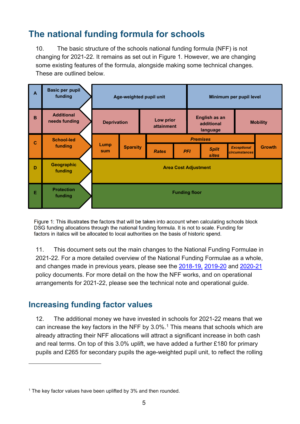# <span id="page-4-0"></span>**The national funding formula for schools**

10. The basic structure of the schools national funding formula (NFF) is not changing for 2021-22. It remains as set out in Figure 1. However, we are changing some existing features of the formula, alongside making some technical changes. These are outlined below.



Figure 1: This illustrates the factors that will be taken into account when calculating schools block DSG funding allocations through the national funding formula. It is not to scale. Funding for factors in italics will be allocated to local authorities on the basis of historic spend.

11. This document sets out the main changes to the National Funding Formulae in 2021-22. For a more detailed overview of the National Funding Formulae as a whole, and changes made in previous years, please see the [2018-19,](https://assets.publishing.service.gov.uk/government/uploads/system/uploads/attachment_data/file/648532/national_funding_formula_for_schools_and_high_needs-Policy_document.pdf) [2019-20](https://assets.publishing.service.gov.uk/government/uploads/system/uploads/attachment_data/file/728273/National_funding_formula_policy_document_-_2019_to_2020_-_BRANDED.pdf) and [2020-21](https://assets.publishing.service.gov.uk/government/uploads/system/uploads/attachment_data/file/838394/National_funding_formula_policy_document_-_2020_to_2021.pdf) policy documents. For more detail on the how the NFF works, and on operational arrangements for 2021-22, please see the technical note and operational guide.

## <span id="page-4-1"></span>**Increasing funding factor values**

12. The additional money we have invested in schools for 2021-22 means that we can increase the key factors in the NFF by  $3.0\%$ .<sup>[1](#page-4-2)</sup> This means that schools which are already attracting their NFF allocations will attract a significant increase in both cash and real terms. On top of this 3.0% uplift, we have added a further £180 for primary pupils and £265 for secondary pupils the age-weighted pupil unit, to reflect the rolling

<span id="page-4-2"></span> $1$  The key factor values have been uplifted by 3% and then rounded.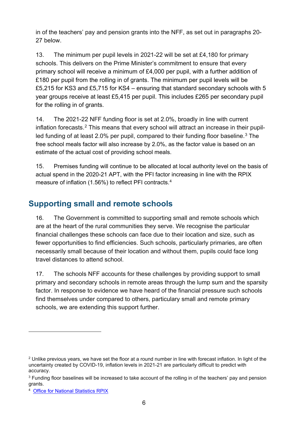in of the teachers' pay and pension grants into the NFF, as set out in paragraphs 20- 27 below.

13. The minimum per pupil levels in 2021-22 will be set at £4,180 for primary schools. This delivers on the Prime Minister's commitment to ensure that every primary school will receive a minimum of £4,000 per pupil, with a further addition of £180 per pupil from the rolling in of grants. The minimum per pupil levels will be £5,215 for KS3 and £5,715 for KS4 – ensuring that standard secondary schools with 5 year groups receive at least £5,415 per pupil. This includes £265 per secondary pupil for the rolling in of grants.

14. The 2021-22 NFF funding floor is set at 2.0%, broadly in line with current inflation forecasts. [2](#page-5-1) This means that every school will attract an increase in their pupil-led funding of at least 2.0% per pupil, compared to their funding floor baseline.<sup>[3](#page-5-2)</sup> The free school meals factor will also increase by 2.0%, as the factor value is based on an estimate of the actual cost of providing school meals.

15. Premises funding will continue to be allocated at local authority level on the basis of actual spend in the 2020-21 APT, with the PFI factor increasing in line with the RPIX measure of inflation (1.56%) to reflect PFI contracts. [4](#page-5-3)

## <span id="page-5-0"></span>**Supporting small and remote schools**

16. The Government is committed to supporting small and remote schools which are at the heart of the rural communities they serve. We recognise the particular financial challenges these schools can face due to their location and size, such as fewer opportunities to find efficiencies. Such schools, particularly primaries, are often necessarily small because of their location and without them, pupils could face long travel distances to attend school.

17. The schools NFF accounts for these challenges by providing support to small primary and secondary schools in remote areas through the lump sum and the sparsity factor. In response to evidence we have heard of the financial pressure such schools find themselves under compared to others, particulary small and remote primary schools, we are extending this support further.

<span id="page-5-1"></span> $2$  Unlike previous years, we have set the floor at a round number in line with forecast inflation. In light of the uncertainty created by COVID-19, inflation levels in 2021-21 are particularly difficult to predict with accuracy.

<span id="page-5-2"></span> $3$  Funding floor baselines will be increased to take account of the rolling in of the teachers' pay and pension grants.

<span id="page-5-3"></span><sup>4</sup> [Office for National Statistics RPIX](https://www.ons.gov.uk/economy/inflationandpriceindices/timeseries/chmk/mm23)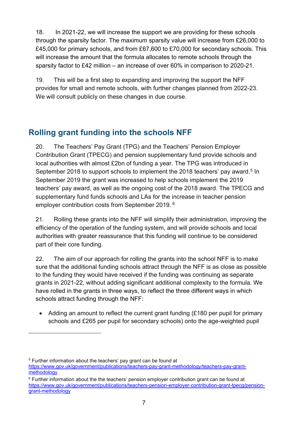18. In 2021-22, we will increase the support we are providing for these schools through the sparsity factor. The maximum sparsity value will increase from £26,000 to £45,000 for primary schools, and from £67,600 to £70,000 for secondary schools. This will increase the amount that the formula allocates to remote schools through the sparsity factor to £42 million – an increase of over 60% in comparison to 2020-21.

19. This will be a first step to expanding and improving the support the NFF provides for small and remote schools, with further changes planned from 2022-23. We will consult publicly on these changes in due course.

## <span id="page-6-0"></span>**Rolling grant funding into the schools NFF**

20. The Teachers' Pay Grant (TPG) and the Teachers' Pension Employer Contribution Grant (TPECG) and pension supplementary fund provide schools and local authorities with almost £2bn of funding a year. The TPG was introduced in September 2018 to support schools to implement the 2018 teachers' pay award.<sup>[5](#page-6-1)</sup> In September 2019 the grant was increased to help schools implement the 2019 teachers' pay award, as well as the ongoing cost of the 2018 award. The TPECG and supplementary fund funds schools and LAs for the increase in teacher pension employer contribution costs from September 2019. [6](#page-6-2)

21. Rolling these grants into the NFF will simplify their administration, improving the efficiency of the operation of the funding system, and will provide schools and local authorities with greater reassurance that this funding will continue to be considered part of their core funding.

22. The aim of our approach for rolling the grants into the school NFF is to make sure that the additional funding schools attract through the NFF is as close as possible to the funding they would have received if the funding was continuing as separate grants in 2021-22, without adding significant additional complexity to the formula. We have rolled in the grants in three ways, to reflect the three different ways in which schools attract funding through the NFF:

• Adding an amount to reflect the current grant funding (£180 per pupil for primary schools and £265 per pupil for secondary schools) onto the age-weighted pupil

<span id="page-6-1"></span><sup>&</sup>lt;sup>5</sup> Further information about the teachers' pay grant can be found at https://www.gov.uk/government/publications/teachers-pay-grant-methodology/teachers-pay-grantmethodology

<span id="page-6-2"></span> $6$  Further information about the the teachers' pension employer contribution grant can be found at [https://www.gov.uk/government/publications/teachers-pension-employer-contribution-grant-tpecg/pension](https://www.gov.uk/government/publications/teachers-pension-employer-contribution-grant-tpecg/pension-grant-methodology)[grant-methodology](https://www.gov.uk/government/publications/teachers-pension-employer-contribution-grant-tpecg/pension-grant-methodology)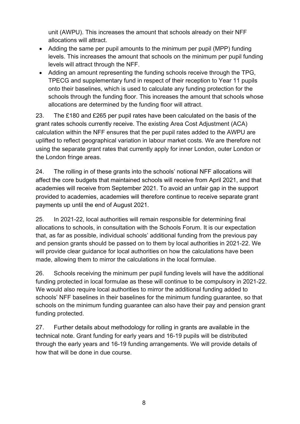unit (AWPU). This increases the amount that schools already on their NFF allocations will attract.

- Adding the same per pupil amounts to the minimum per pupil (MPP) funding levels. This increases the amount that schools on the minimum per pupil funding levels will attract through the NFF.
- Adding an amount representing the funding schools receive through the TPG, TPECG and supplementary fund in respect of their reception to Year 11 pupils onto their baselines, which is used to calculate any funding protection for the schools through the funding floor. This increases the amount that schools whose allocations are determined by the funding floor will attract.

23. The £180 and £265 per pupil rates have been calculated on the basis of the grant rates schools currently receive. The existing Area Cost Adjustment (ACA) calculation within the NFF ensures that the per pupil rates added to the AWPU are uplifted to reflect geographical variation in labour market costs. We are therefore not using the separate grant rates that currently apply for inner London, outer London or the London fringe areas.

24. The rolling in of these grants into the schools' notional NFF allocations will affect the core budgets that maintained schools will receive from April 2021, and that academies will receive from September 2021. To avoid an unfair gap in the support provided to academies, academies will therefore continue to receive separate grant payments up until the end of August 2021.

25. In 2021-22, local authorities will remain responsible for determining final allocations to schools, in consultation with the Schools Forum. It is our expectation that, as far as possible, individual schools' additional funding from the previous pay and pension grants should be passed on to them by local authorities in 2021-22. We will provide clear guidance for local authorities on how the calculations have been made, allowing them to mirror the calculations in the local formulae.

26. Schools receiving the minimum per pupil funding levels will have the additional funding protected in local formulae as these will continue to be compulsory in 2021-22. We would also require local authorities to mirror the additional funding added to schools' NFF baselines in their baselines for the minimum funding guarantee, so that schools on the minimum funding guarantee can also have their pay and pension grant funding protected.

27. Further details about methodology for rolling in grants are available in the technical note. Grant funding for early years and 16-19 pupils will be distributed through the early years and 16-19 funding arrangements. We will provide details of how that will be done in due course.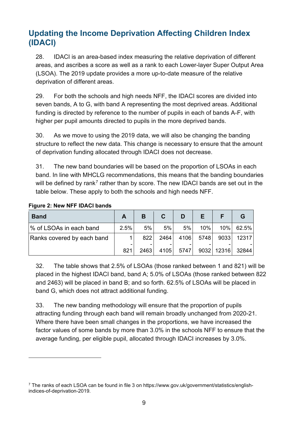## <span id="page-8-0"></span>**Updating the Income Deprivation Affecting Children Index (IDACI)**

28. IDACI is an area-based index measuring the relative deprivation of different areas, and ascribes a score as well as a rank to each Lower-layer Super Output Area (LSOA). The 2019 update provides a more up-to-date measure of the relative deprivation of different areas.

29. For both the schools and high needs NFF, the IDACI scores are divided into seven bands, A to G, with band A representing the most deprived areas. Additional funding is directed by reference to the number of pupils in each of bands A-F, with higher per pupil amounts directed to pupils in the more deprived bands.

30. As we move to using the 2019 data, we will also be changing the banding structure to reflect the new data. This change is necessary to ensure that the amount of deprivation funding allocated through IDACI does not decrease.

31. The new band boundaries will be based on the proportion of LSOAs in each band. In line with MHCLG recommendations, this means that the banding boundaries will be defined by rank<sup>[7](#page-8-1)</sup> rather than by score. The new IDACI bands are set out in the table below. These apply to both the schools and high needs NFF.

| <b>Band</b>                |      | в     |      | D     | E.     |                   |
|----------------------------|------|-------|------|-------|--------|-------------------|
| % of LSOAs in each band    | 2.5% | 5%    | 5%   | 5%    | $10\%$ | 10% 62.5%         |
| Ranks covered by each band |      | 8221  | 2464 | 4106  | 5748   | 9033 12317        |
|                            | 821  | 24631 | 4105 | 57471 |        | 9032 12316  32844 |

32. The table shows that 2.5% of LSOAs (those ranked between 1 and 821) will be placed in the highest IDACI band, band A; 5.0% of LSOAs (those ranked between 822 and 2463) will be placed in band B; and so forth. 62.5% of LSOAs will be placed in band G, which does not attract additional funding.

33. The new banding methodology will ensure that the proportion of pupils attracting funding through each band will remain broadly unchanged from 2020-21. Where there have been small changes in the proportions, we have increased the factor values of some bands by more than 3.0% in the schools NFF to ensure that the average funding, per eligible pupil, allocated through IDACI increases by 3.0%.

<span id="page-8-1"></span> $7$  The ranks of each LSOA can be found in file 3 on https://www.gov.uk/government/statistics/englishindices-of-deprivation-2019.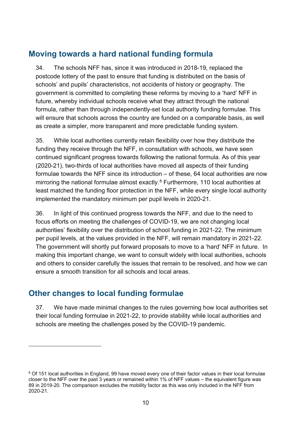## <span id="page-9-0"></span>**Moving towards a hard national funding formula**

34. The schools NFF has, since it was introduced in 2018-19, replaced the postcode lottery of the past to ensure that funding is distributed on the basis of schools' and pupils' characteristics, not accidents of history or geography. The government is committed to completing these reforms by moving to a 'hard' NFF in future, whereby individual schools receive what they attract through the national formula, rather than through independently-set local authority funding formulae. This will ensure that schools across the country are funded on a comparable basis, as well as create a simpler, more transparent and more predictable funding system.

35. While local authorities currently retain flexibility over how they distribute the funding they receive through the NFF, in consultation with schools, we have seen continued significant progress towards following the national formula. As of this year (2020-21), two-thirds of local authorities have moved all aspects of their funding formulae towards the NFF since its introduction – of these, 64 local authorities are now mirroring the national formulae almost exactly.<sup>[8](#page-9-2)</sup> Furthermore, 110 local authorities at least matched the funding floor protection in the NFF, while every single local authority implemented the mandatory minimum per pupil levels in 2020-21.

36. In light of this continued progress towards the NFF, and due to the need to focus efforts on meeting the challenges of COVID-19, we are not changing local authorities' flexibility over the distribution of school funding in 2021-22. The minimum per pupil levels, at the values provided in the NFF, will remain mandatory in 2021-22. The government will shortly put forward proposals to move to a 'hard' NFF in future. In making this important change, we want to consult widely with local authorities, schools and others to consider carefully the issues that remain to be resolved, and how we can ensure a smooth transition for all schools and local areas.

## <span id="page-9-1"></span>**Other changes to local funding formulae**

37. We have made minimal changes to the rules governing how local authorities set their local funding formulae in 2021-22, to provide stability while local authorities and schools are meeting the challenges posed by the COVID-19 pandemic.

<span id="page-9-2"></span><sup>&</sup>lt;sup>8</sup> Of 151 local authorities in England, 99 have moved every one of their factor values in their local formulae closer to the NFF over the past 3 years or remained within 1% of NFF values – the equivalent figure was 89 in 2019-20. The comparison excludes the mobility factor as this was only included in the NFF from 2020-21.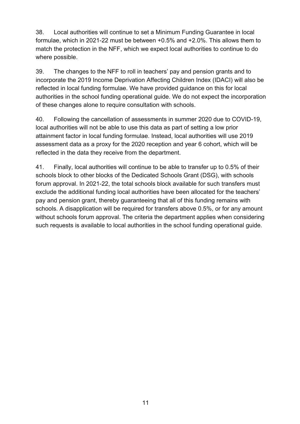38. Local authorities will continue to set a Minimum Funding Guarantee in local formulae, which in 2021-22 must be between +0.5% and +2.0%. This allows them to match the protection in the NFF, which we expect local authorities to continue to do where possible.

39. The changes to the NFF to roll in teachers' pay and pension grants and to incorporate the 2019 Income Deprivation Affecting Children Index (IDACI) will also be reflected in local funding formulae. We have provided guidance on this for local authorities in the school funding operational guide. We do not expect the incorporation of these changes alone to require consultation with schools.

40. Following the cancellation of assessments in summer 2020 due to COVID-19, local authorities will not be able to use this data as part of setting a low prior attainment factor in local funding formulae. Instead, local authorities will use 2019 assessment data as a proxy for the 2020 reception and year 6 cohort, which will be reflected in the data they receive from the department.

41. Finally, local authorities will continue to be able to transfer up to 0.5% of their schools block to other blocks of the Dedicated Schools Grant (DSG), with schools forum approval. In 2021-22, the total schools block available for such transfers must exclude the additional funding local authorities have been allocated for the teachers' pay and pension grant, thereby guaranteeing that all of this funding remains with schools. A disapplication will be required for transfers above 0.5%, or for any amount without schools forum approval. The criteria the department applies when considering such requests is available to local authorities in the school funding operational guide.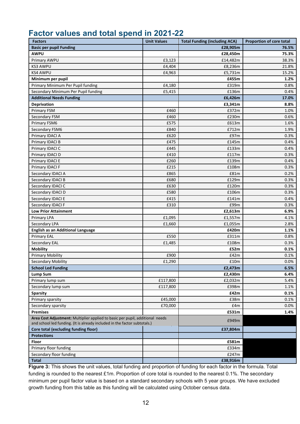## <span id="page-11-0"></span>**Factor values and total spend in 2021-22**

| <b>Factors</b>                                                                | <b>Unit Values</b> | <b>Total Funding (including ACA)</b> | <b>Proportion of core total</b> |
|-------------------------------------------------------------------------------|--------------------|--------------------------------------|---------------------------------|
| <b>Basic per pupil Funding</b>                                                |                    | £28,905m                             | 76.5%                           |
| <b>AWPU</b>                                                                   |                    | £28,450m                             | 75.3%                           |
| Primary AWPU                                                                  | £3,123             | £14,482m                             | 38.3%                           |
| <b>KS3 AWPU</b>                                                               | £4,404             | £8,236m                              | 21.8%                           |
| <b>KS4 AWPU</b>                                                               | £4,963             | £5,731m                              | 15.2%                           |
| Minimum per pupil                                                             |                    | £455m                                | 1.2%                            |
| Primary Minimum Per Pupil funding                                             | £4,180             | £319m                                | 0.8%                            |
| Secondary Minimum Per Pupil funding                                           | £5,415             | £136m                                | $0.4\%$                         |
| <b>Additional Needs Funding</b>                                               |                    | £6,426m                              | 17.0%                           |
| <b>Deprivation</b>                                                            |                    | £3,341m                              | 8.8%                            |
| <b>Primary FSM</b>                                                            | £460               | £372m                                | 1.0%                            |
| Secondary FSM                                                                 | £460               | £230m                                | 0.6%                            |
| Primary FSM6                                                                  | £575               | £613m                                | 1.6%                            |
| Secondary FSM6                                                                | £840               | £712m                                | 1.9%                            |
| Primary IDACI A                                                               | £620               | £97m                                 | $0.3\%$                         |
| Primary IDACI B                                                               | £475               | £145m                                | $0.4\%$                         |
| Primary IDACI C                                                               | £445               | £133m                                | $0.4\%$                         |
| Primary IDACI D                                                               | £410               | £117m                                | 0.3%                            |
| Primary IDACI E                                                               | £260               | £139m                                | 0.4%                            |
| Primary IDACI F                                                               | £215               | £108m                                | 0.3%                            |
| Secondary IDACI A                                                             | £865               | £81m                                 | 0.2%                            |
| Secondary IDACI B                                                             | £680               | £129m                                | 0.3%                            |
| Secondary IDACI C                                                             | £630               | £120m                                | 0.3%                            |
| Secondary IDACI D                                                             | £580               | £106m                                | 0.3%                            |
| Secondary IDACI E                                                             | £415               | £141m                                | 0.4%                            |
| Secondary IDACI F                                                             | £310               | £99m                                 | 0.3%                            |
| <b>Low Prior Attainment</b>                                                   |                    | £2,613m                              | 6.9%                            |
| <b>Primary LPA</b>                                                            | £1,095             | £1,557m                              | 4.1%                            |
| Secondary LPA                                                                 | £1,660             | £1,055m                              | 2.8%                            |
| <b>English as an Additional Language</b>                                      |                    | £420m                                | 1.1%                            |
| <b>Primary EAL</b>                                                            | £550               | £311m                                | 0.8%                            |
| Secondary EAL                                                                 | £1,485             | £108m                                | 0.3%                            |
| <b>Mobility</b>                                                               |                    | £52m                                 | 0.1%                            |
| <b>Primary Mobility</b>                                                       | £900               | £42m                                 | 0.1%                            |
| Secondary Mobility                                                            | £1,290             | £10m                                 | 0.0%                            |
| <b>School Led Funding</b>                                                     |                    | £2,473m                              | 6.5%                            |
| <b>Lump Sum</b>                                                               |                    | £2,430m                              | 6.4%                            |
| Primary lump sum                                                              | £117,800           | £2,032m                              | 5.4%                            |
| Secondary lump sum                                                            | £117,800           | £398m                                | 1.1%                            |
| <b>Sparsity</b>                                                               |                    | £42m                                 | 0.1%                            |
| Primary sparsity                                                              | £45,000            | £38m                                 | $0.1\%$                         |
| Secondary sparsity                                                            | £70,000            | £4m                                  | $0.0\%$                         |
| <b>Premises</b>                                                               |                    | £531m                                | 1.4%                            |
| Area Cost Adjustment: Multiplier applied to basic per pupil, additional needs |                    |                                      |                                 |
| and school led funding. (It is already included in the factor subtotals.)     |                    | £949m                                |                                 |
| Core total (excluding funding floor)                                          |                    | £37,804m                             |                                 |
| <b>Protections</b>                                                            |                    |                                      |                                 |
| Floor                                                                         |                    | £581m                                |                                 |
| Primary floor funding                                                         |                    | £334m                                |                                 |
| Secondary floor funding                                                       |                    | £247m                                |                                 |
| <b>Total</b>                                                                  |                    | £38,916m                             |                                 |

**Figure 3:** This shows the unit values, total funding and proportion of funding for each factor in the formula. Total funding is rounded to the nearest £1m. Proportion of core total is rounded to the nearest 0.1%. The secondary minimum per pupil factor value is based on a standard secondary schools with 5 year groups. We have excluded growth funding from this table as this funding will be calculated using October census data.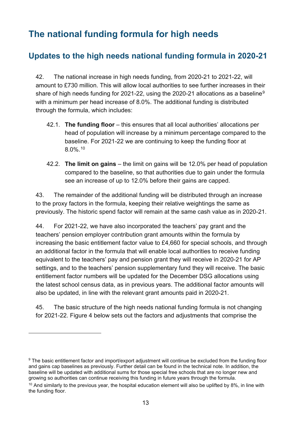# <span id="page-12-0"></span>**The national funding formula for high needs**

## <span id="page-12-1"></span>**Updates to the high needs national funding formula in 2020-21**

42. The national increase in high needs funding, from 2020-21 to 2021-22, will amount to £730 million. This will allow local authorities to see further increases in their share of high needs funding for 2021-22, using the 2020-21 allocations as a baseline<sup>[9](#page-12-2)</sup> with a minimum per head increase of 8.0%. The additional funding is distributed through the formula, which includes:

- 42.1. **The funding floor** this ensures that all local authorities' allocations per head of population will increase by a minimum percentage compared to the baseline. For 2021-22 we are continuing to keep the funding floor at 8.0%. [10](#page-12-3)
- 42.2. **The limit on gains**  the limit on gains will be 12.0% per head of population compared to the baseline, so that authorities due to gain under the formula see an increase of up to 12.0% before their gains are capped.

43. The remainder of the additional funding will be distributed through an increase to the proxy factors in the formula, keeping their relative weightings the same as previously. The historic spend factor will remain at the same cash value as in 2020-21.

44. For 2021-22, we have also incorporated the teachers' pay grant and the teachers' pension employer contribution grant amounts within the formula by increasing the basic entitlement factor value to £4,660 for special schools, and through an additional factor in the formula that will enable local authorities to receive funding equivalent to the teachers' pay and pension grant they will receive in 2020-21 for AP settings, and to the teachers' pension supplementary fund they will receive. The basic entitlement factor numbers will be updated for the December DSG allocations using the latest school census data, as in previous years. The additional factor amounts will also be updated, in line with the relevant grant amounts paid in 2020-21.

45. The basic structure of the high needs national funding formula is not changing for 2021-22. Figure 4 below sets out the factors and adjustments that comprise the

<span id="page-12-2"></span><sup>&</sup>lt;sup>9</sup> The basic entitlement factor and import/export adjustment will continue be excluded from the funding floor and gains cap baselines as previously. Further detail can be found in the technical note. In addition, the baseline will be updated with additional sums for those special free schools that are no longer new and growing so authorities can continue receiving this funding in future years through the formula.

<span id="page-12-3"></span> $10$  And similarly to the previous year, the hospital education element will also be uplifted by 8%, in line with the funding floor.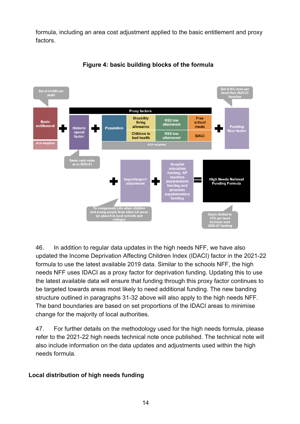formula, including an area cost adjustment applied to the basic entitlement and proxy factors.



#### **Figure 4: basic building blocks of the formula**

46. In addition to regular data updates in the high needs NFF, we have also updated the Income Deprivation Affecting Children Index (IDACI) factor in the 2021-22 formula to use the latest available 2019 data. Similar to the schools NFF, the high needs NFF uses IDACI as a proxy factor for deprivation funding. Updating this to use the latest available data will ensure that funding through this proxy factor continues to be targeted towards areas most likely to need additional funding. The new banding structure outlined in paragraphs 31-32 above will also apply to the high needs NFF. The band boundaries are based on set proportions of the IDACI areas to minimise change for the majority of local authorities.

47. For further details on the methodology used for the high needs formula, please refer to the 2021-22 high needs technical note once published. The technical note will also include information on the data updates and adjustments used within the high needs formula.

#### **Local distribution of high needs funding**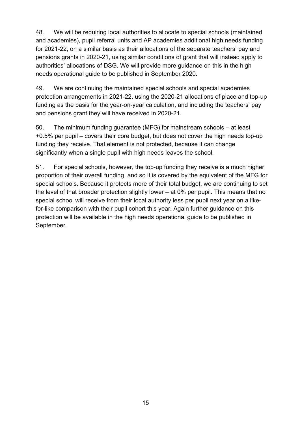48. We will be requiring local authorities to allocate to special schools (maintained and academies), pupil referral units and AP academies additional high needs funding for 2021-22, on a similar basis as their allocations of the separate teachers' pay and pensions grants in 2020-21, using similar conditions of grant that will instead apply to authorities' allocations of DSG. We will provide more guidance on this in the high needs operational guide to be published in September 2020.

49. We are continuing the maintained special schools and special academies protection arrangements in 2021-22, using the 2020-21 allocations of place and top-up funding as the basis for the year-on-year calculation, and including the teachers' pay and pensions grant they will have received in 2020-21.

50. The minimum funding guarantee (MFG) for mainstream schools – at least +0.5% per pupil – covers their core budget, but does not cover the high needs top-up funding they receive. That element is not protected, because it can change significantly when a single pupil with high needs leaves the school.

51. For special schools, however, the top-up funding they receive is a much higher proportion of their overall funding, and so it is covered by the equivalent of the MFG for special schools. Because it protects more of their total budget, we are continuing to set the level of that broader protection slightly lower – at 0% per pupil. This means that no special school will receive from their local authority less per pupil next year on a likefor-like comparison with their pupil cohort this year. Again further guidance on this protection will be available in the high needs operational guide to be published in September.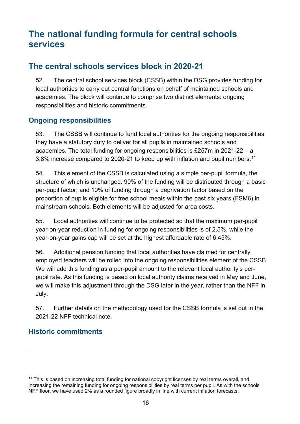# <span id="page-15-0"></span>**The national funding formula for central schools services**

### <span id="page-15-1"></span>**The central schools services block in 2020-21**

52. The central school services block (CSSB) within the DSG provides funding for local authorities to carry out central functions on behalf of maintained schools and academies. The block will continue to comprise two distinct elements: ongoing responsibilities and historic commitments.

#### **Ongoing responsibilities**

53. The CSSB will continue to fund local authorities for the ongoing responsibilities they have a statutory duty to deliver for all pupils in maintained schools and academies. The total funding for ongoing responsibilities is £257m in 2021-22 – a 3.8% increase compared to 2020-21 to keep up with inflation and pupil numbers. [11](#page-15-2)

54. This element of the CSSB is calculated using a simple per-pupil formula, the structure of which is unchanged. 90% of the funding will be distributed through a basic per-pupil factor, and 10% of funding through a deprivation factor based on the proportion of pupils eligible for free school meals within the past six years (FSM6) in mainstream schools. Both elements will be adjusted for area costs.

55. Local authorities will continue to be protected so that the maximum per-pupil year-on-year reduction in funding for ongoing responsibilities is of 2.5%, while the year-on-year gains cap will be set at the highest affordable rate of 6.45%.

56. Additional pension funding that local authorities have claimed for centrally employed teachers will be rolled into the ongoing responsibilities element of the CSSB. We will add this funding as a per-pupil amount to the relevant local authority's perpupil rate. As this funding is based on local authority claims received in May and June, we will make this adjustment through the DSG later in the year, rather than the NFF in July.

57. Further details on the methodology used for the CSSB formula is set out in the 2021-22 NFF technical note.

#### **Historic commitments**

<span id="page-15-2"></span> $11$  This is based on increasing total funding for national copyright licenses by real terms overall, and increasing the remaining funding for ongoing responsibilities by real terms per pupil. As with the schools NFF floor, we have used 2% as a rounded figure broadly in line with current inflation forecasts.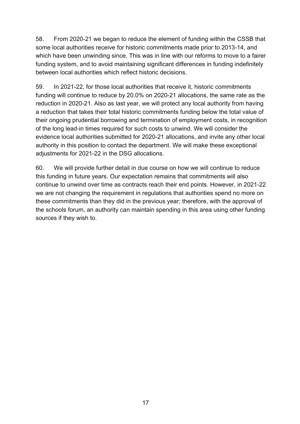58. From 2020-21 we began to reduce the element of funding within the CSSB that some local authorities receive for historic commitments made prior to 2013-14, and which have been unwinding since. This was in line with our reforms to move to a fairer funding system, and to avoid maintaining significant differences in funding indefinitely between local authorities which reflect historic decisions.

59. In 2021-22, for those local authorities that receive it, historic commitments funding will continue to reduce by 20.0% on 2020-21 allocations, the same rate as the reduction in 2020-21. Also as last year, we will protect any local authority from having a reduction that takes their total historic commitments funding below the total value of their ongoing prudential borrowing and termination of employment costs, in recognition of the long lead-in times required for such costs to unwind. We will consider the evidence local authorities submitted for 2020-21 allocations, and invite any other local authority in this position to contact the department. We will make these exceptional adjustments for 2021-22 in the DSG allocations.

60. We will provide further detail in due course on how we will continue to reduce this funding in future years. Our expectation remains that commitments will also continue to unwind over time as contracts reach their end points. However, in 2021-22 we are not changing the requirement in regulations that authorities spend no more on these commitments than they did in the previous year; therefore, with the approval of the schools forum, an authority can maintain spending in this area using other funding sources if they wish to.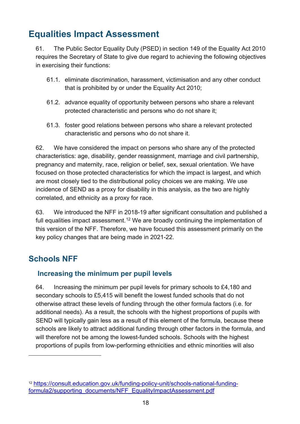# <span id="page-17-0"></span>**Equalities Impact Assessment**

61. The Public Sector Equality Duty (PSED) in section 149 of the Equality Act 2010 requires the Secretary of State to give due regard to achieving the following objectives in exercising their functions:

- 61.1. eliminate discrimination, harassment, victimisation and any other conduct that is prohibited by or under the Equality Act 2010;
- 61.2. advance equality of opportunity between persons who share a relevant protected characteristic and persons who do not share it;
- 61.3. foster good relations between persons who share a relevant protected characteristic and persons who do not share it.

62. We have considered the impact on persons who share any of the protected characteristics: age, disability, gender reassignment, marriage and civil partnership, pregnancy and maternity, race, religion or belief, sex, sexual orientation. We have focused on those protected characteristics for which the impact is largest, and which are most closely tied to the distributional policy choices we are making. We use incidence of SEND as a proxy for disability in this analysis, as the two are highly correlated, and ethnicity as a proxy for race.

63. We introduced the NFF in 2018-19 after significant consultation and published a full equalities impact assessment.<sup>[12](#page-17-2)</sup> We are broadly continuing the implementation of this version of the NFF. Therefore, we have focused this assessment primarily on the key policy changes that are being made in 2021-22.

## <span id="page-17-1"></span>**Schools NFF**

#### **Increasing the minimum per pupil levels**

64. Increasing the minimum per pupil levels for primary schools to £4,180 and secondary schools to £5,415 will benefit the lowest funded schools that do not otherwise attract these levels of funding through the other formula factors (i.e. for additional needs). As a result, the schools with the highest proportions of pupils with SEND will typically gain less as a result of this element of the formula, because these schools are likely to attract additional funding through other factors in the formula, and will therefore not be among the lowest-funded schools. Schools with the highest proportions of pupils from low-performing ethnicities and ethnic minorities will also

<span id="page-17-2"></span><sup>12</sup> [https://consult.education.gov.uk/funding-policy-unit/schools-national-funding](https://consult.education.gov.uk/funding-policy-unit/schools-national-funding-formula2/supporting_documents/NFF_EqualityImpactAssessment.pdf)[formula2/supporting\\_documents/NFF\\_EqualityImpactAssessment.pdf](https://consult.education.gov.uk/funding-policy-unit/schools-national-funding-formula2/supporting_documents/NFF_EqualityImpactAssessment.pdf)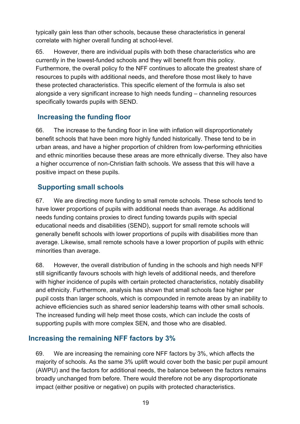typically gain less than other schools, because these characteristics in general correlate with higher overall funding at school-level.

65. However, there are individual pupils with both these characteristics who are currently in the lowest-funded schools and they will benefit from this policy. Furthermore, the overall policy fo the NFF continues to allocate the greatest share of resources to pupils with additional needs, and therefore those most likely to have these protected characteristics. This specific element of the formula is also set alongside a very significant increase to high needs funding – channeling resources specifically towards pupils with SEND.

#### **Increasing the funding floor**

66. The increase to the funding floor in line with inflation will disproportionately benefit schools that have been more highly funded historically. These tend to be in urban areas, and have a higher proportion of children from low-performing ethnicities and ethnic minorities because these areas are more ethnically diverse. They also have a higher occurrence of non-Christian faith schools. We assess that this will have a positive impact on these pupils.

#### **Supporting small schools**

67. We are directing more funding to small remote schools. These schools tend to have lower proportions of pupils with additional needs than average. As additional needs funding contains proxies to direct funding towards pupils with special educational needs and disabilities (SEND), support for small remote schools will generally benefit schools with lower proportions of pupils with disabilities more than average. Likewise, small remote schools have a lower proportion of pupils with ethnic minorities than average.

68. However, the overall distribution of funding in the schools and high needs NFF still significantly favours schools with high levels of additional needs, and therefore with higher incidence of pupils with certain protected characteristics, notably disability and ethnicity. Furthermore, analysis has shown that small schools face higher per pupil costs than larger schools, which is compounded in remote areas by an inability to achieve efficiencies such as shared senior leadership teams with other small schools. The increased funding will help meet those costs, which can include the costs of supporting pupils with more complex SEN, and those who are disabled.

#### **Increasing the remaining NFF factors by 3%**

69. We are increasing the remaining core NFF factors by 3%, which affects the majority of schools. As the same 3% uplift would cover both the basic per pupil amount (AWPU) and the factors for additional needs, the balance between the factors remains broadly unchanged from before. There would therefore not be any disproportionate impact (either positive or negative) on pupils with protected characteristics.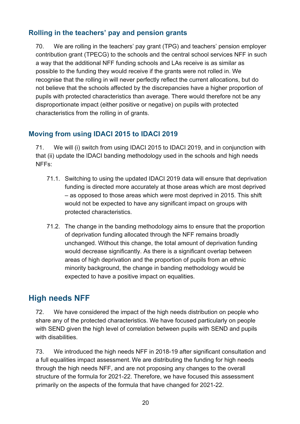#### **Rolling in the teachers' pay and pension grants**

70. We are rolling in the teachers' pay grant (TPG) and teachers' pension employer contribution grant (TPECG) to the schools and the central school services NFF in such a way that the additional NFF funding schools and LAs receive is as similar as possible to the funding they would receive if the grants were not rolled in. We recognise that the rolling in will never perfectly reflect the current allocations, but do not believe that the schools affected by the discrepancies have a higher proportion of pupils with protected characteristics than average. There would therefore not be any disproportionate impact (either positive or negative) on pupils with protected characteristics from the rolling in of grants.

#### **Moving from using IDACI 2015 to IDACI 2019**

71. We will (i) switch from using IDACI 2015 to IDACI 2019, and in conjunction with that (ii) update the IDACI banding methodology used in the schools and high needs NFFs:

- 71.1. Switching to using the updated IDACI 2019 data will ensure that deprivation funding is directed more accurately at those areas which are most deprived – as opposed to those areas which *were* most deprived in 2015. This shift would not be expected to have any significant impact on groups with protected characteristics.
- 71.2. The change in the banding methodology aims to ensure that the proportion of deprivation funding allocated through the NFF remains broadly unchanged. Without this change, the total amount of deprivation funding would decrease significantly. As there is a significant overlap between areas of high deprivation and the proportion of pupils from an ethnic minority background, the change in banding methodology would be expected to have a positive impact on equalities.

## <span id="page-19-0"></span>**High needs NFF**

72. We have considered the impact of the high needs distribution on people who share any of the protected characteristics. We have focused particularly on people with SEND given the high level of correlation between pupils with SEND and pupils with disabilities.

73. We introduced the high needs NFF in 2018-19 after significant consultation and a full equalities impact assessment. We are distributing the funding for high needs through the high needs NFF, and are not proposing any changes to the overall structure of the formula for 2021-22. Therefore, we have focused this assessment primarily on the aspects of the formula that have changed for 2021-22.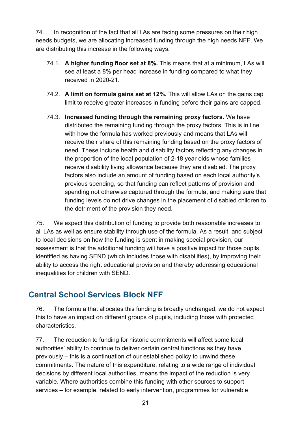74. In recognition of the fact that all LAs are facing some pressures on their high needs budgets, we are allocating increased funding through the high needs NFF. We are distributing this increase in the following ways:

- 74.1. **A higher funding floor set at 8%.** This means that at a minimum, LAs will see at least a 8% per head increase in funding compared to what they received in 2020-21.
- 74.2. **A limit on formula gains set at 12%.** This will allow LAs on the gains cap limit to receive greater increases in funding before their gains are capped.
- 74.3. **Increased funding through the remaining proxy factors.** We have distributed the remaining funding through the proxy factors. This is in line with how the formula has worked previously and means that LAs will receive their share of this remaining funding based on the proxy factors of need. These include health and disability factors reflecting any changes in the proportion of the local population of 2-18 year olds whose families receive disability living allowance because they are disabled. The proxy factors also include an amount of funding based on each local authority's previous spending, so that funding can reflect patterns of provision and spending not otherwise captured through the formula, and making sure that funding levels do not drive changes in the placement of disabled children to the detriment of the provision they need.

75. We expect this distribution of funding to provide both reasonable increases to all LAs as well as ensure stability through use of the formula. As a result, and subject to local decisions on how the funding is spent in making special provision, our assessment is that the additional funding will have a positive impact for those pupils identified as having SEND (which includes those with disabilities), by improving their ability to access the right educational provision and thereby addressing educational inequalities for children with SEND.

## <span id="page-20-0"></span>**Central School Services Block NFF**

76. The formula that allocates this funding is broadly unchanged; we do not expect this to have an impact on different groups of pupils, including those with protected characteristics.

77. The reduction to funding for historic commitments will affect some local authorities' ability to continue to deliver certain central functions as they have previously – this is a continuation of our established policy to unwind these commitments. The nature of this expenditure, relating to a wide range of individual decisions by different local authorities, means the impact of the reduction is very variable. Where authorities combine this funding with other sources to support services – for example, related to early intervention, programmes for vulnerable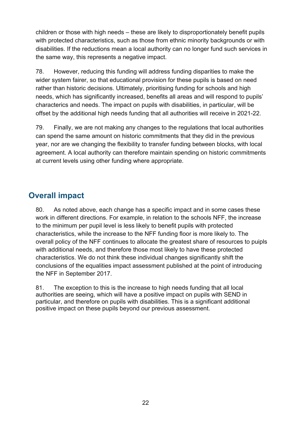children or those with high needs – these are likely to disproportionately benefit pupils with protected characteristics, such as those from ethnic minority backgrounds or with disabilities. If the reductions mean a local authority can no longer fund such services in the same way, this represents a negative impact.

78. However, reducing this funding will address funding disparities to make the wider system fairer, so that educational provision for these pupils is based on need rather than historic decisions. Ultimately, prioritising funding for schools and high needs, which has significantly increased, benefits all areas and will respond to pupils' characterics and needs. The impact on pupils with disabilities, in particular, will be offset by the additional high needs funding that all authorities will receive in 2021-22.

79. Finally, we are not making any changes to the regulations that local authorities can spend the same amount on historic commitments that they did in the previous year, nor are we changing the flexibility to transfer funding between blocks, with local agreement. A local authority can therefore maintain spending on historic commitments at current levels using other funding where appropriate.

## <span id="page-21-0"></span>**Overall impact**

80. As noted above, each change has a specific impact and in some cases these work in different directions. For example, in relation to the schools NFF, the increase to the minimum per pupil level is less likely to benefit pupils with protected characteristics, while the increase to the NFF funding floor is more likely to. The overall policy of the NFF continues to allocate the greatest share of resources to puipls with additional needs, and therefore those most likely to have these protected characteristics. We do not think these individual changes significantly shift the conclusions of the equalities impact assessment published at the point of introducing the NFF in September 2017.

81. The exception to this is the increase to high needs funding that all local authorities are seeing, which will have a positive impact on pupils with SEND in particular, and therefore on pupils with disabilities. This is a significant additional positive impact on these pupils beyond our previous assessment.